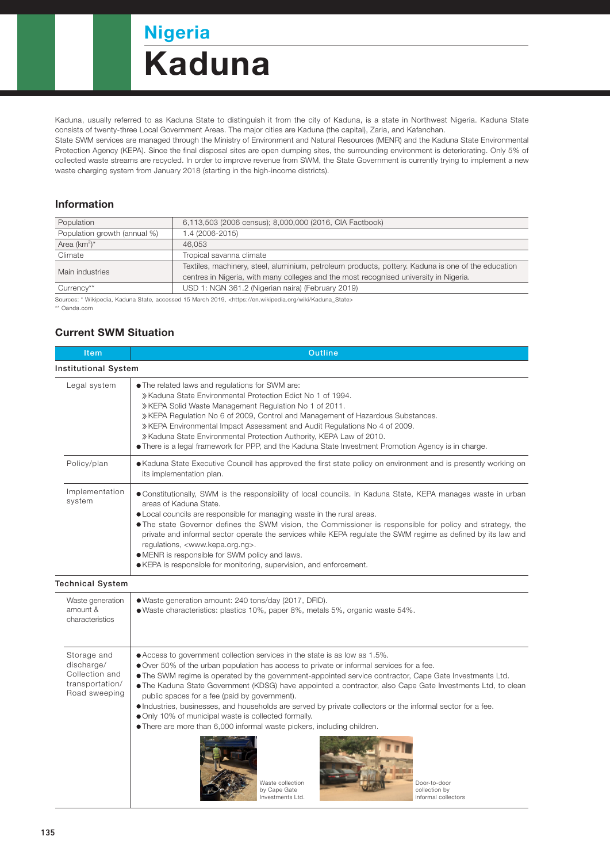## Nigeria

# Kaduna

Kaduna, usually referred to as Kaduna State to distinguish it from the city of Kaduna, is a state in Northwest Nigeria. Kaduna State consists of twenty-three Local Government Areas. The major cities are Kaduna (the capital), Zaria, and Kafanchan.

State SWM services are managed through the Ministry of Environment and Natural Resources (MENR) and the Kaduna State Environmental Protection Agency (KEPA). Since the final disposal sites are open dumping sites, the surrounding environment is deteriorating. Only 5% of collected waste streams are recycled. In order to improve revenue from SWM, the State Government is currently trying to implement a new waste charging system from January 2018 (starting in the high-income districts).

#### Information

| Population                   | 6,113,503 (2006 census); 8,000,000 (2016, CIA Factbook)                                            |  |  |
|------------------------------|----------------------------------------------------------------------------------------------------|--|--|
| Population growth (annual %) | 1.4 (2006-2015)                                                                                    |  |  |
| Area $(km^2)^*$              | 46.053                                                                                             |  |  |
| Climate                      | Tropical savanna climate                                                                           |  |  |
| Main industries              | Textiles, machinery, steel, aluminium, petroleum products, pottery. Kaduna is one of the education |  |  |
|                              | centres in Nigeria, with many colleges and the most recognised university in Nigeria.              |  |  |
| Currency**                   | USD 1: NGN 361.2 (Nigerian naira) (February 2019)                                                  |  |  |

Sources: \* Wikipedia, Kaduna State, accessed 15 March 2019, <https://en.wikipedia.org/wiki/Kaduna\_State>

\*\* Oanda.com

#### Current SWM Situation

| <b>Item</b>                 | <b>Outline</b>                                                                                                                                                                                                                                                                                                                                                                                                                                                                                                                                                                                                                   |  |  |  |
|-----------------------------|----------------------------------------------------------------------------------------------------------------------------------------------------------------------------------------------------------------------------------------------------------------------------------------------------------------------------------------------------------------------------------------------------------------------------------------------------------------------------------------------------------------------------------------------------------------------------------------------------------------------------------|--|--|--|
| <b>Institutional System</b> |                                                                                                                                                                                                                                                                                                                                                                                                                                                                                                                                                                                                                                  |  |  |  |
| Legal system                | • The related laws and regulations for SWM are:<br>» Kaduna State Environmental Protection Edict No 1 of 1994.<br>» KEPA Solid Waste Management Regulation No 1 of 2011.<br>» KEPA Regulation No 6 of 2009, Control and Management of Hazardous Substances.<br>» KEPA Environmental Impact Assessment and Audit Regulations No 4 of 2009.<br>» Kaduna State Environmental Protection Authority, KEPA Law of 2010.<br>• There is a legal framework for PPP, and the Kaduna State Investment Promotion Agency is in charge.                                                                                                        |  |  |  |
| Policy/plan                 | • Kaduna State Executive Council has approved the first state policy on environment and is presently working on<br>its implementation plan.                                                                                                                                                                                                                                                                                                                                                                                                                                                                                      |  |  |  |
| Implementation<br>system    | • Constitutionally, SWM is the responsibility of local councils. In Kaduna State, KEPA manages waste in urban<br>areas of Kaduna State.<br>• Local councils are responsible for managing waste in the rural areas.<br>• The state Governor defines the SWM vision, the Commissioner is responsible for policy and strategy, the<br>private and informal sector operate the services while KEPA regulate the SWM regime as defined by its law and<br>regulations, <www.kepa.org.ng>.<br/>• MENR is responsible for SWM policy and laws.<br/>• KEPA is responsible for monitoring, supervision, and enforcement.</www.kepa.org.ng> |  |  |  |

Technical System

| echnical System                                                                 |                                                                                                                                                                                                                                                                                                                                                                                                                                                                                                                                                                                                                                                                                                                                                                                                                    |
|---------------------------------------------------------------------------------|--------------------------------------------------------------------------------------------------------------------------------------------------------------------------------------------------------------------------------------------------------------------------------------------------------------------------------------------------------------------------------------------------------------------------------------------------------------------------------------------------------------------------------------------------------------------------------------------------------------------------------------------------------------------------------------------------------------------------------------------------------------------------------------------------------------------|
| Waste generation<br>amount &<br>characteristics                                 | • Waste generation amount: 240 tons/day (2017, DFID).<br>● Waste characteristics: plastics 10%, paper 8%, metals 5%, organic waste 54%.                                                                                                                                                                                                                                                                                                                                                                                                                                                                                                                                                                                                                                                                            |
| Storage and<br>discharge/<br>Collection and<br>transportation/<br>Road sweeping | ● Access to government collection services in the state is as low as 1.5%.<br>● Over 50% of the urban population has access to private or informal services for a fee.<br>• The SWM regime is operated by the government-appointed service contractor, Cape Gate Investments Ltd.<br>• The Kaduna State Government (KDSG) have appointed a contractor, also Cape Gate Investments Ltd, to clean<br>public spaces for a fee (paid by government).<br>• Industries, businesses, and households are served by private collectors or the informal sector for a fee.<br>• Only 10% of municipal waste is collected formally.<br>• There are more than 6,000 informal waste pickers, including children.<br>Waste collection<br>Door-to-door<br>by Cape Gate<br>collection by<br>informal collectors<br>Investments Ltd. |